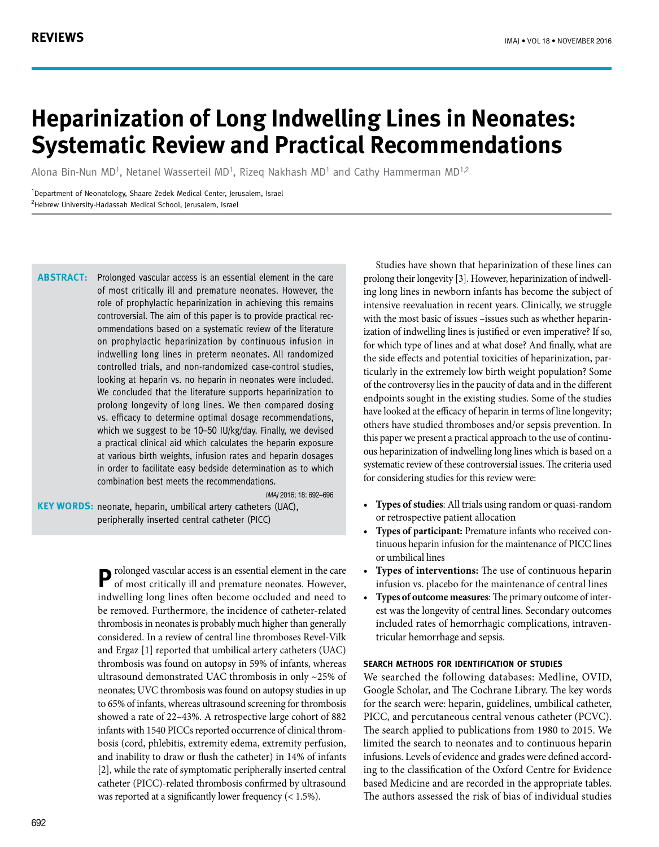# **Heparinization of Long Indwelling Lines in Neonates: Systematic Review and Practical Recommendations**

Alona Bin-Nun MD1, Netanel Wasserteil MD1, Rizeq Nakhash MD1 and Cathy Hammerman MD1,2

<sup>1</sup>Department of Neonatology, Shaare Zedek Medical Center, Jerusalem, Israel <sup>2</sup>Hebrew University-Hadassah Medical School, Jerusalem, Israel

**ABSTRACT:** Prolonged vascular access is an essential element in the care of most critically ill and premature neonates. However, the role of prophylactic heparinization in achieving this remains controversial. The aim of this paper is to provide practical recommendations based on a systematic review of the literature on prophylactic heparinization by continuous infusion in indwelling long lines in preterm neonates. All randomized controlled trials, and non-randomized case-control studies, looking at heparin vs. no heparin in neonates were included. We concluded that the literature supports heparinization to prolong longevity of long lines. We then compared dosing vs. efficacy to determine optimal dosage recommendations, which we suggest to be 10–50 IU/kg/day. Finally, we devised a practical clinical aid which calculates the heparin exposure at various birth weights, infusion rates and heparin dosages in order to facilitate easy bedside determination as to which combination best meets the recommendations.

IMAJ 2016; 18: 692–696

**KEY WORDS:** neonate, heparin, umbilical artery catheters (UAC), peripherally inserted central catheter (PICC)

> **P** rolonged vascular access is an essential element in the care of most critically ill and premature neonates. However, indwelling long lines often become occluded and need to be removed. Furthermore, the incidence of catheter-related thrombosis in neonates is probably much higher than generally considered. In a review of central line thromboses Revel-Vilk and Ergaz [1] reported that umbilical artery catheters (UAC) thrombosis was found on autopsy in 59% of infants, whereas ultrasound demonstrated UAC thrombosis in only ~25% of neonates; UVC thrombosis was found on autopsy studies in up to 65% of infants, whereas ultrasound screening for thrombosis showed a rate of 22–43%. A retrospective large cohort of 882 infants with 1540 PICCs reported occurrence of clinical thrombosis (cord, phlebitis, extremity edema, extremity perfusion, and inability to draw or flush the catheter) in 14% of infants [2], while the rate of symptomatic peripherally inserted central catheter (PICC)-related thrombosis confirmed by ultrasound was reported at a significantly lower frequency (< 1.5%).

Studies have shown that heparinization of these lines can prolong their longevity [3]. However, heparinization of indwelling long lines in newborn infants has become the subject of intensive reevaluation in recent years. Clinically, we struggle with the most basic of issues –issues such as whether heparinization of indwelling lines is justified or even imperative? If so, for which type of lines and at what dose? And finally, what are the side effects and potential toxicities of heparinization, particularly in the extremely low birth weight population? Some of the controversy lies in the paucity of data and in the different endpoints sought in the existing studies. Some of the studies have looked at the efficacy of heparin in terms of line longevity; others have studied thromboses and/or sepsis prevention. In this paper we present a practical approach to the use of continuous heparinization of indwelling long lines which is based on a systematic review of these controversial issues. The criteria used for considering studies for this review were:

- **• Types of studies**: All trials using random or quasi-random or retrospective patient allocation
- **Types of participant:** Premature infants who received continuous heparin infusion for the maintenance of PICC lines or umbilical lines
- **Types of interventions:** The use of continuous heparin infusion vs. placebo for the maintenance of central lines
- **• Types of outcome measures**: The primary outcome of interest was the longevity of central lines. Secondary outcomes included rates of hemorrhagic complications, intraventricular hemorrhage and sepsis.

#### **Search methods for identification of studies**

We searched the following databases: Medline, OVID, Google Scholar, and The Cochrane Library. The key words for the search were: heparin, guidelines, umbilical catheter, PICC, and percutaneous central venous catheter (PCVC). The search applied to publications from 1980 to 2015. We limited the search to neonates and to continuous heparin infusions. Levels of evidence and grades were defined according to the classification of the Oxford Centre for Evidence based Medicine and are recorded in the appropriate tables. The authors assessed the risk of bias of individual studies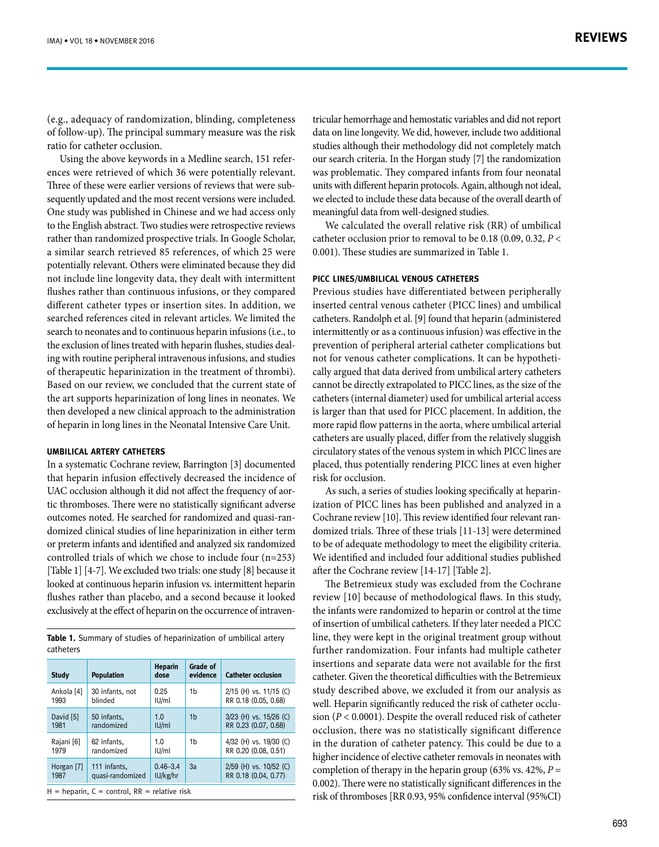(e.g., adequacy of randomization, blinding, completeness of follow-up). The principal summary measure was the risk ratio for catheter occlusion.

Using the above keywords in a Medline search, 151 references were retrieved of which 36 were potentially relevant. Three of these were earlier versions of reviews that were subsequently updated and the most recent versions were included. One study was published in Chinese and we had access only to the English abstract. Two studies were retrospective reviews rather than randomized prospective trials. In Google Scholar, a similar search retrieved 85 references, of which 25 were potentially relevant. Others were eliminated because they did not include line longevity data, they dealt with intermittent flushes rather than continuous infusions, or they compared different catheter types or insertion sites. In addition, we searched references cited in relevant articles. We limited the search to neonates and to continuous heparin infusions (i.e., to the exclusion of lines treated with heparin flushes, studies dealing with routine peripheral intravenous infusions, and studies of therapeutic heparinization in the treatment of thrombi). Based on our review, we concluded that the current state of the art supports heparinization of long lines in neonates. We then developed a new clinical approach to the administration of heparin in long lines in the Neonatal Intensive Care Unit.

#### **Umbilical artery catheters**

In a systematic Cochrane review, Barrington [3] documented that heparin infusion effectively decreased the incidence of UAC occlusion although it did not affect the frequency of aortic thromboses. There were no statistically significant adverse outcomes noted. He searched for randomized and quasi-randomized clinical studies of line heparinization in either term or preterm infants and identified and analyzed six randomized controlled trials of which we chose to include four (n=253) [Table 1] [4-7]. We excluded two trials: one study [8] because it looked at continuous heparin infusion vs. intermittent heparin flushes rather than placebo, and a second because it looked exclusively at the effect of heparin on the occurrence of intraven-

**Table 1.** Summary of studies of heparinization of umbilical artery catheters

| <b>Study</b>                                       | <b>Population</b> | <b>Heparin</b><br>dose | Grade of<br>evidence | <b>Catheter occlusion</b> |
|----------------------------------------------------|-------------------|------------------------|----------------------|---------------------------|
| Ankola [4]                                         | 30 infants, not   | 0.25                   | 1 <sub>b</sub>       | 2/15 (H) vs. 11/15 (C)    |
| 1993                                               | blinded           | IU/ml                  |                      | RR 0.18 (0.05, 0.68)      |
| David [5]                                          | 50 infants.       | 1.0                    | 1 <sub>b</sub>       | 3/23 (H) vs. 15/26 (C)    |
| 1981                                               | randomized        | IU/ml                  |                      | RR 0.23 (0.07, 0.68)      |
| Rajani [6]                                         | 62 infants.       | 1.0                    | 1 <sub>b</sub>       | 4/32 (H) vs. 19/30 (C)    |
| 1979                                               | randomized        | IU/ml                  |                      | RR 0.20 (0.08, 0.51)      |
| Horgan [7]                                         | 111 infants.      | $0.46 - 3.4$           | 3a                   | 2/59 (H) vs. 10/52 (C)    |
| 1987                                               | quasi-randomized  | IU/kg/hr               |                      | RR 0.18 (0.04, 0.77)      |
| $H =$ heparin, $C =$ control, $RR =$ relative risk |                   |                        |                      |                           |

tricular hemorrhage and hemostatic variables and did not report data on line longevity. We did, however, include two additional studies although their methodology did not completely match our search criteria. In the Horgan study [7] the randomization was problematic. They compared infants from four neonatal units with different heparin protocols. Again, although not ideal, we elected to include these data because of the overall dearth of meaningful data from well-designed studies.

We calculated the overall relative risk (RR) of umbilical catheter occlusion prior to removal to be 0.18 (0.09, 0.32, *P* < 0.001). These studies are summarized in Table 1.

#### **PICC lines/Umbilical venous catheters**

Previous studies have differentiated between peripherally inserted central venous catheter (PICC lines) and umbilical catheters. Randolph et al. [9] found that heparin (administered intermittently or as a continuous infusion) was effective in the prevention of peripheral arterial catheter complications but not for venous catheter complications. It can be hypothetically argued that data derived from umbilical artery catheters cannot be directly extrapolated to PICC lines, as the size of the catheters (internal diameter) used for umbilical arterial access is larger than that used for PICC placement. In addition, the more rapid flow patterns in the aorta, where umbilical arterial catheters are usually placed, differ from the relatively sluggish circulatory states of the venous system in which PICC lines are placed, thus potentially rendering PICC lines at even higher risk for occlusion.

As such, a series of studies looking specifically at heparinization of PICC lines has been published and analyzed in a Cochrane review [10]. This review identified four relevant randomized trials. Three of these trials [11-13] were determined to be of adequate methodology to meet the eligibility criteria. We identified and included four additional studies published after the Cochrane review [14-17] [Table 2].

The Betremieux study was excluded from the Cochrane review [10] because of methodological flaws. In this study, the infants were randomized to heparin or control at the time of insertion of umbilical catheters. If they later needed a PICC line, they were kept in the original treatment group without further randomization. Four infants had multiple catheter insertions and separate data were not available for the first catheter. Given the theoretical difficulties with the Betremieux study described above, we excluded it from our analysis as well. Heparin significantly reduced the risk of catheter occlusion (*P* < 0.0001). Despite the overall reduced risk of catheter occlusion, there was no statistically significant difference in the duration of catheter patency. This could be due to a higher incidence of elective catheter removals in neonates with completion of therapy in the heparin group (63% vs.  $42\%, P =$ 0.002). There were no statistically significant differences in the risk of thromboses [RR 0.93, 95% confidence interval (95%CI)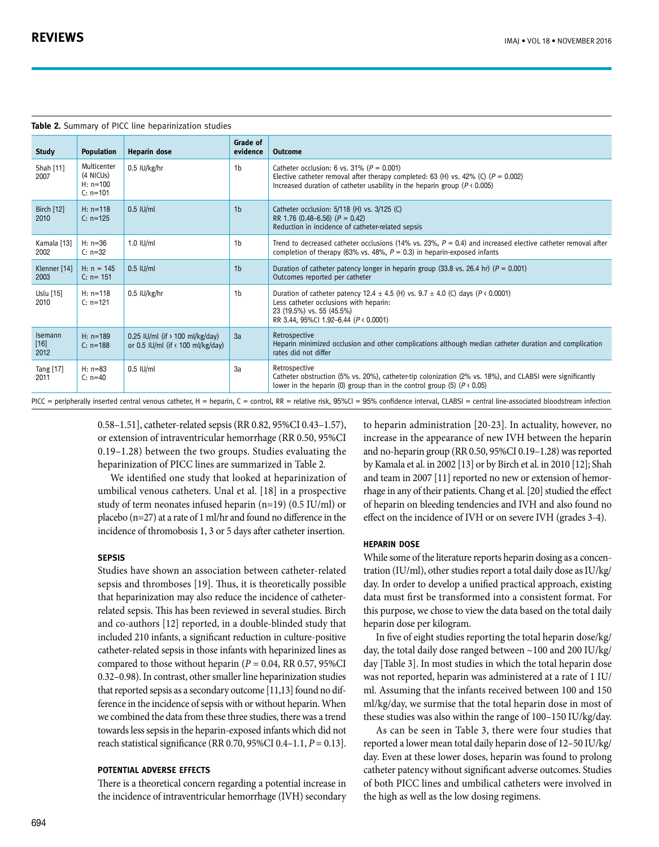|                           | <b>Table 2.</b> Summary of PICC line heparinization studies |                                                                                         |                      |                                                                                                                                                                                                                              |  |
|---------------------------|-------------------------------------------------------------|-----------------------------------------------------------------------------------------|----------------------|------------------------------------------------------------------------------------------------------------------------------------------------------------------------------------------------------------------------------|--|
| <b>Study</b>              | <b>Population</b>                                           | Heparin dose                                                                            | Grade of<br>evidence | <b>Outcome</b>                                                                                                                                                                                                               |  |
| Shah [11]<br>2007         | Multicenter<br>(4 NICUs)<br>$H: n=100$<br>$C: n=101$        | 0.5 IU/kg/hr                                                                            | 1 <sub>b</sub>       | Catheter occlusion: 6 vs. 31% ( $P = 0.001$ )<br>Elective catheter removal after therapy completed: 63 (H) vs. 42% (C) ( $P = 0.002$ )<br>Increased duration of catheter usability in the heparin group ( $P \nless 0.005$ ) |  |
| <b>Birch</b> [12]<br>2010 | $H: n=118$<br>$C: n=125$                                    | $0.5$ IU/ml                                                                             | 1 <sub>b</sub>       | Catheter occlusion: 5/118 (H) vs. 3/125 (C)<br>RR 1.76 $(0.48 - 6.56)$ $(P = 0.42)$<br>Reduction in incidence of catheter-related sepsis                                                                                     |  |
| Kamala [13]<br>2002       | $H: n=36$<br>$C: n=32$                                      | 1.0 IU/ml                                                                               | 1 <sub>b</sub>       | Trend to decreased catheter occlusions (14% vs. 23%, $P = 0.4$ ) and increased elective catheter removal after<br>completion of therapy (63% vs. 48%, $P = 0.3$ ) in heparin-exposed infants                                 |  |
| Klenner [14]<br>2003      | $H: n = 145$<br>$C: n = 151$                                | $0.5$ IU/ml                                                                             | 1 <sub>b</sub>       | Duration of catheter patency longer in heparin group (33.8 vs. 26.4 hr) ( $P = 0.001$ )<br>Outcomes reported per catheter                                                                                                    |  |
| Uslu [15]<br>2010         | $H: n=118$<br>$C: n=121$                                    | 0.5 IU/kg/hr                                                                            | 1 <sub>b</sub>       | Duration of catheter patency 12.4 $\pm$ 4.5 (H) vs. 9.7 $\pm$ 4.0 (C) days (P < 0.0001)<br>Less catheter occlusions with heparin:<br>23 (19.5%) vs. 55 (45.5%)<br>RR 3.44, 95%Cl 1.92-6.44 ( $P \triangleleft 0.0001$ )      |  |
| Isemann<br>$[16]$<br>2012 | $H: n=189$<br>$C: n=188$                                    | 0.25 IU/ml (if $\rightarrow$ 100 ml/kg/day)<br>or 0.5 IU/ml (if $\left($ 100 ml/kg/day) | 3a                   | Retrospective<br>Heparin minimized occlusion and other complications although median catheter duration and complication<br>rates did not differ                                                                              |  |
| Tang [17]<br>2011         | $H: n=83$<br>$C: n=40$                                      | $0.5$ IU/ml                                                                             | 3a                   | Retrospective<br>Catheter obstruction (5% vs. 20%), catheter-tip colonization (2% vs. 18%), and CLABSI were significantly<br>lower in the heparin (0) group than in the control group (5) ( $P \nless 0.05$ )                |  |

PICC = peripherally inserted central venous catheter, H = heparin, C = control, RR = relative risk, 95%CI = 95% confidence interval, CLABSI = central line-associated bloodstream infection

0.58–1.51], catheter-related sepsis (RR 0.82, 95%CI 0.43–1.57), or extension of intraventricular hemorrhage (RR 0.50, 95%CI 0.19–1.28) between the two groups. Studies evaluating the heparinization of PICC lines are summarized in Table 2.

We identified one study that looked at heparinization of umbilical venous catheters. Unal et al. [18] in a prospective study of term neonates infused heparin (n=19) (0.5 IU/ml) or placebo (n=27) at a rate of 1 ml/hr and found no difference in the incidence of thromobosis 1, 3 or 5 days after catheter insertion.

#### **Sepsis**

Studies have shown an association between catheter-related sepsis and thromboses [19]. Thus, it is theoretically possible that heparinization may also reduce the incidence of catheterrelated sepsis. This has been reviewed in several studies. Birch and co-authors [12] reported, in a double-blinded study that included 210 infants, a significant reduction in culture-positive catheter-related sepsis in those infants with heparinized lines as compared to those without heparin ( $P = 0.04$ , RR 0.57, 95%CI 0.32–0.98). In contrast, other smaller line heparinization studies that reported sepsis as a secondary outcome [11,13] found no difference in the incidence of sepsis with or without heparin. When we combined the data from these three studies, there was a trend towards less sepsis in the heparin-exposed infants which did not reach statistical significance (RR 0.70, 95%CI 0.4–1.1, *P* = 0.13].

#### **Potential adverse effects**

There is a theoretical concern regarding a potential increase in the incidence of intraventricular hemorrhage (IVH) secondary to heparin administration [20-23]. In actuality, however, no increase in the appearance of new IVH between the heparin and no-heparin group (RR 0.50, 95%CI 0.19–1.28) was reported by Kamala et al. in 2002 [13] or by Birch et al. in 2010 [12]; Shah and team in 2007 [11] reported no new or extension of hemorrhage in any of their patients. Chang et al. [20] studied the effect of heparin on bleeding tendencies and IVH and also found no effect on the incidence of IVH or on severe IVH (grades 3-4).

#### **Heparin dose**

While some of the literature reports heparin dosing as a concentration (IU/ml), other studies report a total daily dose as IU/kg/ day. In order to develop a unified practical approach, existing data must first be transformed into a consistent format. For this purpose, we chose to view the data based on the total daily heparin dose per kilogram.

In five of eight studies reporting the total heparin dose/kg/ day, the total daily dose ranged between ~100 and 200 IU/kg/ day [Table 3]. In most studies in which the total heparin dose was not reported, heparin was administered at a rate of 1 IU/ ml. Assuming that the infants received between 100 and 150 ml/kg/day, we surmise that the total heparin dose in most of these studies was also within the range of 100–150 IU/kg/day.

As can be seen in Table 3, there were four studies that reported a lower mean total daily heparin dose of 12–50 IU/kg/ day. Even at these lower doses, heparin was found to prolong catheter patency without significant adverse outcomes. Studies of both PICC lines and umbilical catheters were involved in the high as well as the low dosing regimens.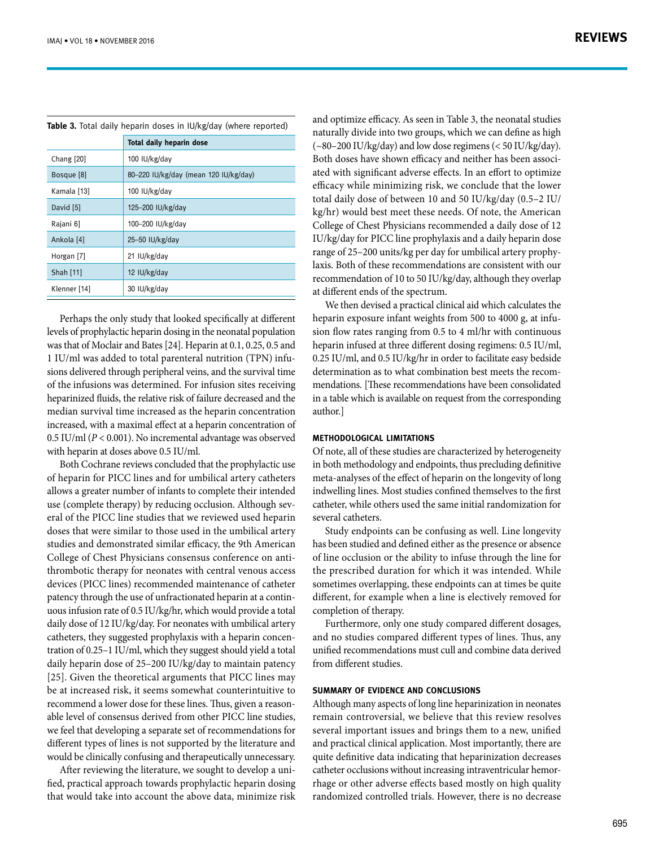|  |  |  |  |  |  |  |  | Table 3. Total daily heparin doses in IU/kg/day (where reported) |
|--|--|--|--|--|--|--|--|------------------------------------------------------------------|
|--|--|--|--|--|--|--|--|------------------------------------------------------------------|

|              | <b>Total daily heparin dose</b>       |
|--------------|---------------------------------------|
| Chang [20]   | 100 IU/kg/day                         |
| Bosque [8]   | 80-220 IU/kg/day (mean 120 IU/kg/day) |
| Kamala [13]  | 100 IU/kg/day                         |
| David [5]    | 125-200 IU/kg/day                     |
| Rajani 61    | 100-200 IU/kg/day                     |
| Ankola [4]   | 25-50 $IU/kg/day$                     |
| Horgan [7]   | 21 IU/kg/day                          |
| Shah [11]    | 12 IU/kg/day                          |
| Klenner [14] | 30 IU/kg/day                          |

Perhaps the only study that looked specifically at different levels of prophylactic heparin dosing in the neonatal population was that of Moclair and Bates [24]. Heparin at 0.1, 0.25, 0.5 and 1 IU/ml was added to total parenteral nutrition (TPN) infusions delivered through peripheral veins, and the survival time of the infusions was determined. For infusion sites receiving heparinized fluids, the relative risk of failure decreased and the median survival time increased as the heparin concentration increased, with a maximal effect at a heparin concentration of 0.5 IU/ml (*P* < 0.001). No incremental advantage was observed with heparin at doses above 0.5 IU/ml.

Both Cochrane reviews concluded that the prophylactic use of heparin for PICC lines and for umbilical artery catheters allows a greater number of infants to complete their intended use (complete therapy) by reducing occlusion. Although several of the PICC line studies that we reviewed used heparin doses that were similar to those used in the umbilical artery studies and demonstrated similar efficacy, the 9th American College of Chest Physicians consensus conference on antithrombotic therapy for neonates with central venous access devices (PICC lines) recommended maintenance of catheter patency through the use of unfractionated heparin at a continuous infusion rate of 0.5 IU/kg/hr, which would provide a total daily dose of 12 IU/kg/day. For neonates with umbilical artery catheters, they suggested prophylaxis with a heparin concentration of 0.25–1 IU/ml, which they suggest should yield a total daily heparin dose of 25–200 IU/kg/day to maintain patency [25]. Given the theoretical arguments that PICC lines may be at increased risk, it seems somewhat counterintuitive to recommend a lower dose for these lines. Thus, given a reasonable level of consensus derived from other PICC line studies, we feel that developing a separate set of recommendations for different types of lines is not supported by the literature and would be clinically confusing and therapeutically unnecessary.

After reviewing the literature, we sought to develop a unified, practical approach towards prophylactic heparin dosing that would take into account the above data, minimize risk and optimize efficacy. As seen in Table 3, the neonatal studies naturally divide into two groups, which we can define as high (~80–200 IU/kg/day) and low dose regimens (< 50 IU/kg/day). Both doses have shown efficacy and neither has been associated with significant adverse effects. In an effort to optimize efficacy while minimizing risk, we conclude that the lower total daily dose of between 10 and 50 IU/kg/day (0.5–2 IU/ kg/hr) would best meet these needs. Of note, the American College of Chest Physicians recommended a daily dose of 12 IU/kg/day for PICC line prophylaxis and a daily heparin dose range of 25–200 units/kg per day for umbilical artery prophylaxis. Both of these recommendations are consistent with our recommendation of 10 to 50 IU/kg/day, although they overlap at different ends of the spectrum.

We then devised a practical clinical aid which calculates the heparin exposure infant weights from 500 to 4000 g, at infusion flow rates ranging from 0.5 to 4 ml/hr with continuous heparin infused at three different dosing regimens: 0.5 IU/ml, 0.25 IU/ml, and 0.5 IU/kg/hr in order to facilitate easy bedside determination as to what combination best meets the recommendations. [These recommendations have been consolidated in a table which is available on request from the corresponding author.]

#### **Methodological limitations**

Of note, all of these studies are characterized by heterogeneity in both methodology and endpoints, thus precluding definitive meta-analyses of the effect of heparin on the longevity of long indwelling lines. Most studies confined themselves to the first catheter, while others used the same initial randomization for several catheters.

Study endpoints can be confusing as well. Line longevity has been studied and defined either as the presence or absence of line occlusion or the ability to infuse through the line for the prescribed duration for which it was intended. While sometimes overlapping, these endpoints can at times be quite different, for example when a line is electively removed for completion of therapy.

Furthermore, only one study compared different dosages, and no studies compared different types of lines. Thus, any unified recommendations must cull and combine data derived from different studies.

### **Summary of evidence and conclusions**

Although many aspects of long line heparinization in neonates remain controversial, we believe that this review resolves several important issues and brings them to a new, unified and practical clinical application. Most importantly, there are quite definitive data indicating that heparinization decreases catheter occlusions without increasing intraventricular hemorrhage or other adverse effects based mostly on high quality randomized controlled trials. However, there is no decrease